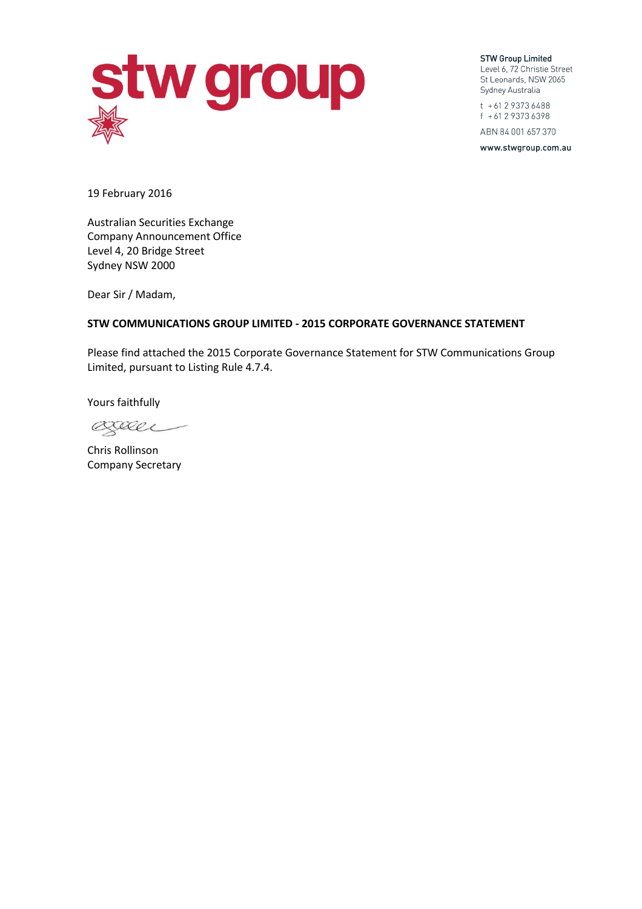

**STW Group Limited** Level 6, 72 Christie Street St Leonards, NSW 2065 Sydney Australia

t + 61 2 9373 6488 f + 61 2 9373 6398 ABN 84 001 657 370

www.stwgroup.com.au

19 February 2016

Australian Securities Exchange Company Announcement Office Level 4, 20 Bridge Street Sydney NSW 2000

Dear Sir / Madam,

# **STW COMMUNICATIONS GROUP LIMITED - 2015 CORPORATE GOVERNANCE STATEMENT**

Please find attached the 2015 Corporate Governance Statement for STW Communications Group Limited, pursuant to Listing Rule 4.7.4.

Yours faithfully

Baller

Chris Rollinson Company Secretary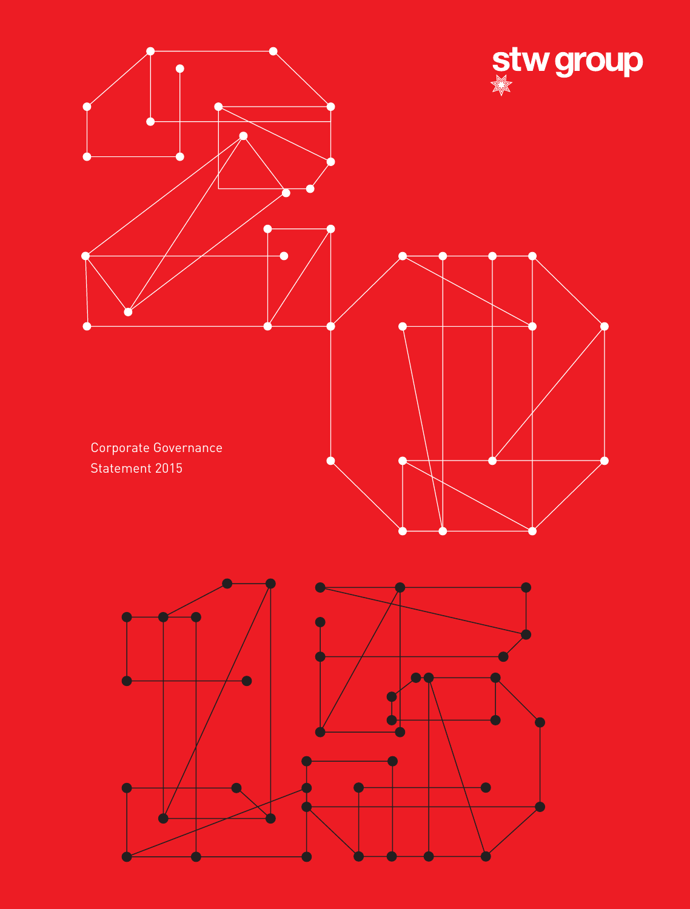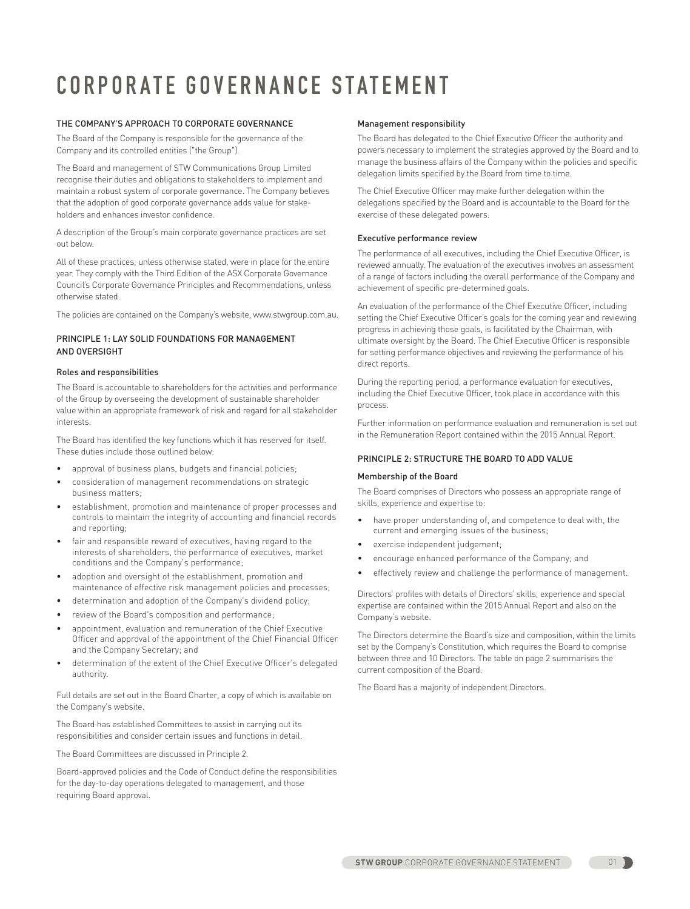# **CORPORATE GOVERNANCE STATEMENT**

# THE COMPANY'S APPROACH TO CORPORATE GOVERNANCE

The Board of the Company is responsible for the governance of the Company and its controlled entities ("the Group").

The Board and management of STW Communications Group Limited recognise their duties and obligations to stakeholders to implement and maintain a robust system of corporate governance. The Company believes that the adoption of good corporate governance adds value for stakeholders and enhances investor confidence.

A description of the Group's main corporate governance practices are set out below.

All of these practices, unless otherwise stated, were in place for the entire year. They comply with the Third Edition of the ASX Corporate Governance Council's Corporate Governance Principles and Recommendations, unless otherwise stated.

The policies are contained on the Company's website, www.stwgroup.com.au.

# PRINCIPLE 1: LAY SOLID FOUNDATIONS FOR MANAGEMENT AND OVERSIGHT

# Roles and responsibilities

The Board is accountable to shareholders for the activities and performance of the Group by overseeing the development of sustainable shareholder value within an appropriate framework of risk and regard for all stakeholder interests.

The Board has identified the key functions which it has reserved for itself. These duties include those outlined below:

- approval of business plans, budgets and financial policies;
- consideration of management recommendations on strategic business matters;
- establishment, promotion and maintenance of proper processes and controls to maintain the integrity of accounting and financial records and reporting;
- fair and responsible reward of executives, having regard to the interests of shareholders, the performance of executives, market conditions and the Company's performance;
- adoption and oversight of the establishment, promotion and maintenance of effective risk management policies and processes;
- determination and adoption of the Company's dividend policy;
- review of the Board's composition and performance;
- appointment, evaluation and remuneration of the Chief Executive Officer and approval of the appointment of the Chief Financial Officer and the Company Secretary; and
- determination of the extent of the Chief Executive Officer's delegated authority.

Full details are set out in the Board Charter, a copy of which is available on the Company's website.

The Board has established Committees to assist in carrying out its responsibilities and consider certain issues and functions in detail.

The Board Committees are discussed in Principle 2.

Board-approved policies and the Code of Conduct define the responsibilities for the day-to-day operations delegated to management, and those requiring Board approval.

## Management responsibility

The Board has delegated to the Chief Executive Officer the authority and powers necessary to implement the strategies approved by the Board and to manage the business affairs of the Company within the policies and specific delegation limits specified by the Board from time to time.

The Chief Executive Officer may make further delegation within the delegations specified by the Board and is accountable to the Board for the exercise of these delegated powers.

# Executive performance review

The performance of all executives, including the Chief Executive Officer, is reviewed annually. The evaluation of the executives involves an assessment of a range of factors including the overall performance of the Company and achievement of specific pre-determined goals.

An evaluation of the performance of the Chief Executive Officer, including setting the Chief Executive Officer's goals for the coming year and reviewing progress in achieving those goals, is facilitated by the Chairman, with ultimate oversight by the Board. The Chief Executive Officer is responsible for setting performance objectives and reviewing the performance of his direct reports.

During the reporting period, a performance evaluation for executives, including the Chief Executive Officer, took place in accordance with this process.

Further information on performance evaluation and remuneration is set out in the Remuneration Report contained within the 2015 Annual Report.

# PRINCIPLE 2: STRUCTURE THE BOARD TO ADD VALUE

# Membership of the Board

The Board comprises of Directors who possess an appropriate range of skills, experience and expertise to:

- have proper understanding of, and competence to deal with, the current and emerging issues of the business;
- exercise independent judgement;
- encourage enhanced performance of the Company; and
- effectively review and challenge the performance of management.

Directors' profiles with details of Directors' skills, experience and special expertise are contained within the 2015 Annual Report and also on the Company's website.

The Directors determine the Board's size and composition, within the limits set by the Company's Constitution, which requires the Board to comprise between three and 10 Directors. The table on page 2 summarises the current composition of the Board.

The Board has a majority of independent Directors.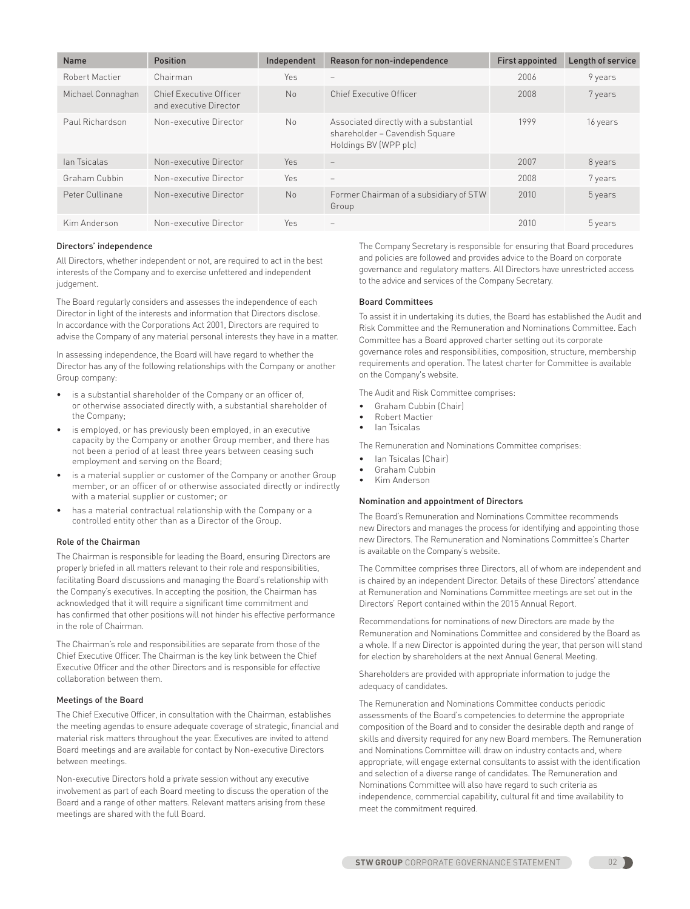| <b>Name</b>       | <b>Position</b>                                   | Independent    | Reason for non-independence                                                                       | <b>First appointed</b> | Length of service |
|-------------------|---------------------------------------------------|----------------|---------------------------------------------------------------------------------------------------|------------------------|-------------------|
| Robert Mactier    | Chairman                                          | Yes            |                                                                                                   | 2006                   | 9 years           |
| Michael Connaghan | Chief Executive Officer<br>and executive Director | No             | Chief Executive Officer                                                                           | 2008                   | 7 years           |
| Paul Richardson   | Non-executive Director                            | N <sub>0</sub> | Associated directly with a substantial<br>shareholder - Cavendish Square<br>Holdings BV (WPP plc) | 1999                   | 16 years          |
| lan Tsicalas      | Non-executive Director                            | <b>Yes</b>     | $\overline{\phantom{m}}$                                                                          | 2007                   | 8 years           |
| Graham Cubbin     | Non-executive Director                            | Yes            |                                                                                                   | 2008                   | 7 years           |
| Peter Cullinane   | Non-executive Director                            | No             | Former Chairman of a subsidiary of STW<br>Group                                                   | 2010                   | 5 years           |
| Kim Anderson      | Non-executive Director                            | Yes            | $\qquad \qquad -$                                                                                 | 2010                   | 5 years           |

## Directors' independence

All Directors, whether independent or not, are required to act in the best interests of the Company and to exercise unfettered and independent judgement.

The Board regularly considers and assesses the independence of each Director in light of the interests and information that Directors disclose. In accordance with the Corporations Act 2001, Directors are required to advise the Company of any material personal interests they have in a matter.

In assessing independence, the Board will have regard to whether the Director has any of the following relationships with the Company or another Group company:

- is a substantial shareholder of the Company or an officer of. or otherwise associated directly with, a substantial shareholder of the Company;
- is employed, or has previously been employed, in an executive capacity by the Company or another Group member, and there has not been a period of at least three years between ceasing such employment and serving on the Board;
- is a material supplier or customer of the Company or another Group member, or an officer of or otherwise associated directly or indirectly with a material supplier or customer; or
- has a material contractual relationship with the Company or a controlled entity other than as a Director of the Group.

# Role of the Chairman

The Chairman is responsible for leading the Board, ensuring Directors are properly briefed in all matters relevant to their role and responsibilities, facilitating Board discussions and managing the Board's relationship with the Company's executives. In accepting the position, the Chairman has acknowledged that it will require a significant time commitment and has confirmed that other positions will not hinder his effective performance in the role of Chairman.

The Chairman's role and responsibilities are separate from those of the Chief Executive Officer. The Chairman is the key link between the Chief Executive Officer and the other Directors and is responsible for effective collaboration between them.

## Meetings of the Board

The Chief Executive Officer, in consultation with the Chairman, establishes the meeting agendas to ensure adequate coverage of strategic, financial and material risk matters throughout the year. Executives are invited to attend Board meetings and are available for contact by Non-executive Directors between meetings.

Non-executive Directors hold a private session without any executive involvement as part of each Board meeting to discuss the operation of the Board and a range of other matters. Relevant matters arising from these meetings are shared with the full Board.

The Company Secretary is responsible for ensuring that Board procedures and policies are followed and provides advice to the Board on corporate governance and regulatory matters. All Directors have unrestricted access to the advice and services of the Company Secretary.

## Board Committees

To assist it in undertaking its duties, the Board has established the Audit and Risk Committee and the Remuneration and Nominations Committee. Each Committee has a Board approved charter setting out its corporate governance roles and responsibilities, composition, structure, membership requirements and operation. The latest charter for Committee is available on the Company's website.

The Audit and Risk Committee comprises:

- Graham Cubbin (Chair)
- Robert Mactier
- Ian Tsicalas

The Remuneration and Nominations Committee comprises:

- Ian Tsicalas (Chair)
- Graham Cubbin
- Kim Anderson

## Nomination and appointment of Directors

The Board's Remuneration and Nominations Committee recommends new Directors and manages the process for identifying and appointing those new Directors. The Remuneration and Nominations Committee's Charter is available on the Company's website.

The Committee comprises three Directors, all of whom are independent and is chaired by an independent Director. Details of these Directors' attendance at Remuneration and Nominations Committee meetings are set out in the Directors' Report contained within the 2015 Annual Report.

Recommendations for nominations of new Directors are made by the Remuneration and Nominations Committee and considered by the Board as a whole. If a new Director is appointed during the year, that person will stand for election by shareholders at the next Annual General Meeting.

Shareholders are provided with appropriate information to judge the adequacy of candidates.

The Remuneration and Nominations Committee conducts periodic assessments of the Board's competencies to determine the appropriate composition of the Board and to consider the desirable depth and range of skills and diversity required for any new Board members. The Remuneration and Nominations Committee will draw on industry contacts and, where appropriate, will engage external consultants to assist with the identification and selection of a diverse range of candidates. The Remuneration and Nominations Committee will also have regard to such criteria as independence, commercial capability, cultural fit and time availability to meet the commitment required.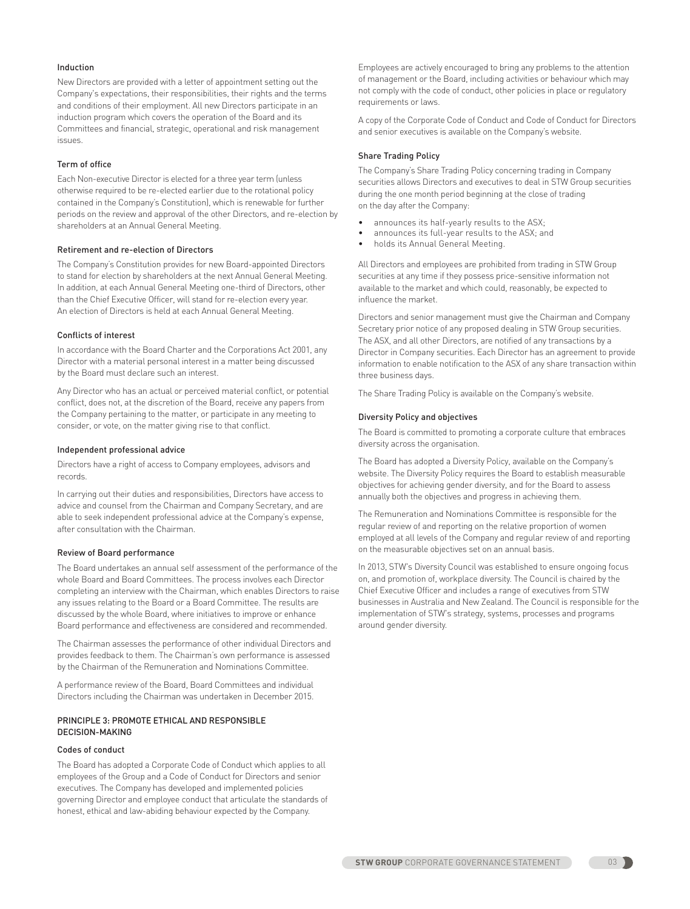# Induction

New Directors are provided with a letter of appointment setting out the Company's expectations, their responsibilities, their rights and the terms and conditions of their employment. All new Directors participate in an induction program which covers the operation of the Board and its Committees and financial, strategic, operational and risk management issues.

# Term of office

Each Non-executive Director is elected for a three year term (unless otherwise required to be re-elected earlier due to the rotational policy contained in the Company's Constitution), which is renewable for further periods on the review and approval of the other Directors, and re-election by shareholders at an Annual General Meeting.

# Retirement and re-election of Directors

The Company's Constitution provides for new Board-appointed Directors to stand for election by shareholders at the next Annual General Meeting. In addition, at each Annual General Meeting one-third of Directors, other than the Chief Executive Officer, will stand for re-election every year. An election of Directors is held at each Annual General Meeting.

## Conflicts of interest

In accordance with the Board Charter and the Corporations Act 2001, any Director with a material personal interest in a matter being discussed by the Board must declare such an interest.

Any Director who has an actual or perceived material conflict, or potential conflict, does not, at the discretion of the Board, receive any papers from the Company pertaining to the matter, or participate in any meeting to consider, or vote, on the matter giving rise to that conflict.

### Independent professional advice

Directors have a right of access to Company employees, advisors and records.

In carrying out their duties and responsibilities, Directors have access to advice and counsel from the Chairman and Company Secretary, and are able to seek independent professional advice at the Company's expense, after consultation with the Chairman.

# Review of Board performance

The Board undertakes an annual self assessment of the performance of the whole Board and Board Committees. The process involves each Director completing an interview with the Chairman, which enables Directors to raise any issues relating to the Board or a Board Committee. The results are discussed by the whole Board, where initiatives to improve or enhance Board performance and effectiveness are considered and recommended.

The Chairman assesses the performance of other individual Directors and provides feedback to them. The Chairman's own performance is assessed by the Chairman of the Remuneration and Nominations Committee.

A performance review of the Board, Board Committees and individual Directors including the Chairman was undertaken in December 2015.

# PRINCIPLE 3: PROMOTE ETHICAL AND RESPONSIBLE DECISION-MAKING

### Codes of conduct

The Board has adopted a Corporate Code of Conduct which applies to all employees of the Group and a Code of Conduct for Directors and senior executives. The Company has developed and implemented policies governing Director and employee conduct that articulate the standards of honest, ethical and law-abiding behaviour expected by the Company.

Employees are actively encouraged to bring any problems to the attention of management or the Board, including activities or behaviour which may not comply with the code of conduct, other policies in place or regulatory requirements or laws.

A copy of the Corporate Code of Conduct and Code of Conduct for Directors and senior executives is available on the Company's website.

# Share Trading Policy

The Company's Share Trading Policy concerning trading in Company securities allows Directors and executives to deal in STW Group securities during the one month period beginning at the close of trading on the day after the Company:

- announces its half-yearly results to the ASX;
- announces its full-year results to the ASX; and
- holds its Annual General Meeting.

All Directors and employees are prohibited from trading in STW Group securities at any time if they possess price-sensitive information not available to the market and which could, reasonably, be expected to influence the market.

Directors and senior management must give the Chairman and Company Secretary prior notice of any proposed dealing in STW Group securities. The ASX, and all other Directors, are notified of any transactions by a Director in Company securities. Each Director has an agreement to provide information to enable notification to the ASX of any share transaction within three business days.

The Share Trading Policy is available on the Company's website.

#### Diversity Policy and objectives

The Board is committed to promoting a corporate culture that embraces diversity across the organisation.

The Board has adopted a Diversity Policy, available on the Company's website. The Diversity Policy requires the Board to establish measurable objectives for achieving gender diversity, and for the Board to assess annually both the objectives and progress in achieving them.

The Remuneration and Nominations Committee is responsible for the regular review of and reporting on the relative proportion of women employed at all levels of the Company and regular review of and reporting on the measurable objectives set on an annual basis.

In 2013, STW's Diversity Council was established to ensure ongoing focus on, and promotion of, workplace diversity. The Council is chaired by the Chief Executive Officer and includes a range of executives from STW businesses in Australia and New Zealand. The Council is responsible for the implementation of STW's strategy, systems, processes and programs around gender diversity.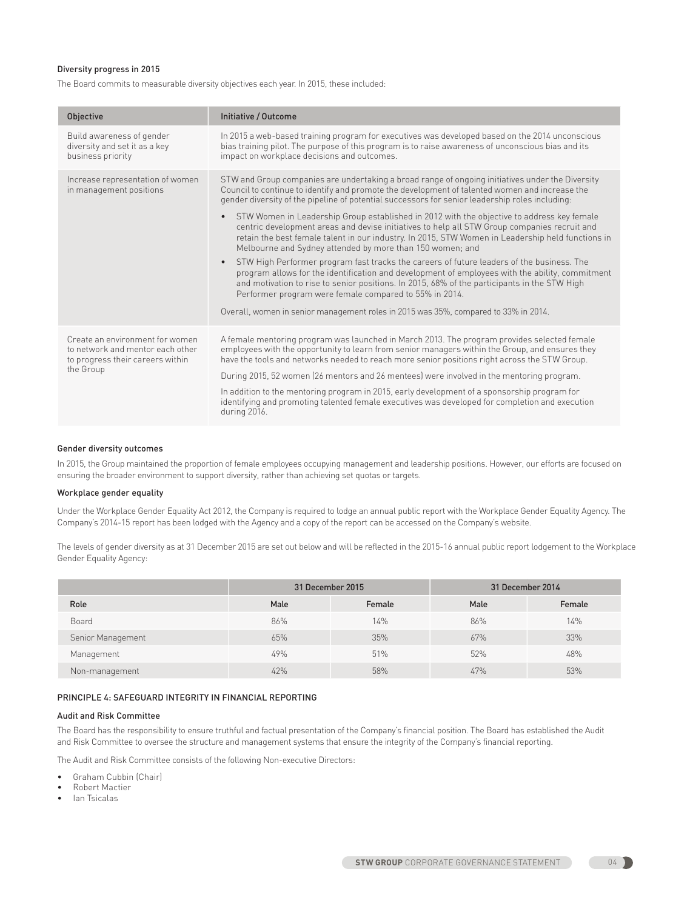# Diversity progress in 2015

The Board commits to measurable diversity objectives each year. In 2015, these included:

| <b>Objective</b>                                                                                                     | Initiative / Outcome                                                                                                                                                                                                                                                                                                                                                                                                                                                                                                                                                                                                                                                                                                                                                                                                                                                                                                                                                                                                                                                                                                                             |  |  |
|----------------------------------------------------------------------------------------------------------------------|--------------------------------------------------------------------------------------------------------------------------------------------------------------------------------------------------------------------------------------------------------------------------------------------------------------------------------------------------------------------------------------------------------------------------------------------------------------------------------------------------------------------------------------------------------------------------------------------------------------------------------------------------------------------------------------------------------------------------------------------------------------------------------------------------------------------------------------------------------------------------------------------------------------------------------------------------------------------------------------------------------------------------------------------------------------------------------------------------------------------------------------------------|--|--|
| Build awareness of gender<br>diversity and set it as a key<br>business priority                                      | In 2015 a web-based training program for executives was developed based on the 2014 unconscious<br>bias training pilot. The purpose of this program is to raise awareness of unconscious bias and its<br>impact on workplace decisions and outcomes.                                                                                                                                                                                                                                                                                                                                                                                                                                                                                                                                                                                                                                                                                                                                                                                                                                                                                             |  |  |
| Increase representation of women<br>in management positions                                                          | STW and Group companies are undertaking a broad range of ongoing initiatives under the Diversity<br>Council to continue to identify and promote the development of talented women and increase the<br>gender diversity of the pipeline of potential successors for senior leadership roles including:<br>STW Women in Leadership Group established in 2012 with the objective to address key female<br>$\bullet$<br>centric development areas and devise initiatives to help all STW Group companies recruit and<br>retain the best female talent in our industry. In 2015, STW Women in Leadership held functions in<br>Melbourne and Sydney attended by more than 150 women; and<br>STW High Performer program fast tracks the careers of future leaders of the business. The<br>$\bullet$<br>program allows for the identification and development of employees with the ability, commitment<br>and motivation to rise to senior positions. In 2015, 68% of the participants in the STW High<br>Performer program were female compared to 55% in 2014.<br>Overall, women in senior management roles in 2015 was 35%, compared to 33% in 2014. |  |  |
| Create an environment for women<br>to network and mentor each other<br>to progress their careers within<br>the Group | A female mentoring program was launched in March 2013. The program provides selected female<br>employees with the opportunity to learn from senior managers within the Group, and ensures they<br>have the tools and networks needed to reach more senior positions right across the STW Group.<br>During 2015, 52 women (26 mentors and 26 mentees) were involved in the mentoring program.<br>In addition to the mentoring program in 2015, early development of a sponsorship program for<br>identifying and promoting talented female executives was developed for completion and execution<br>during 2016.                                                                                                                                                                                                                                                                                                                                                                                                                                                                                                                                  |  |  |

## Gender diversity outcomes

In 2015, the Group maintained the proportion of female employees occupying management and leadership positions. However, our efforts are focused on ensuring the broader environment to support diversity, rather than achieving set quotas or targets.

#### Workplace gender equality

Under the Workplace Gender Equality Act 2012, the Company is required to lodge an annual public report with the Workplace Gender Equality Agency. The Company's 2014-15 report has been lodged with the Agency and a copy of the report can be accessed on the Company's website.

The levels of gender diversity as at 31 December 2015 are set out below and will be reflected in the 2015-16 annual public report lodgement to the Workplace Gender Equality Agency:

|                   | 31 December 2015 |        | 31 December 2014 |        |  |
|-------------------|------------------|--------|------------------|--------|--|
| Role              | Male             | Female | Male             | Female |  |
| Board             | 86%              | 14%    | 86%              | 14%    |  |
| Senior Management | 65%              | 35%    | 67%              | 33%    |  |
| Management        | 49%              | 51%    | 52%              | 48%    |  |
| Non-management    | 42%              | 58%    | 47%              | 53%    |  |

# PRINCIPLE 4: SAFEGUARD INTEGRITY IN FINANCIAL REPORTING

## Audit and Risk Committee

The Board has the responsibility to ensure truthful and factual presentation of the Company's financial position. The Board has established the Audit and Risk Committee to oversee the structure and management systems that ensure the integrity of the Company's financial reporting.

The Audit and Risk Committee consists of the following Non-executive Directors:

- Graham Cubbin (Chair)
- Robert Mactier
- Ian Tsicalas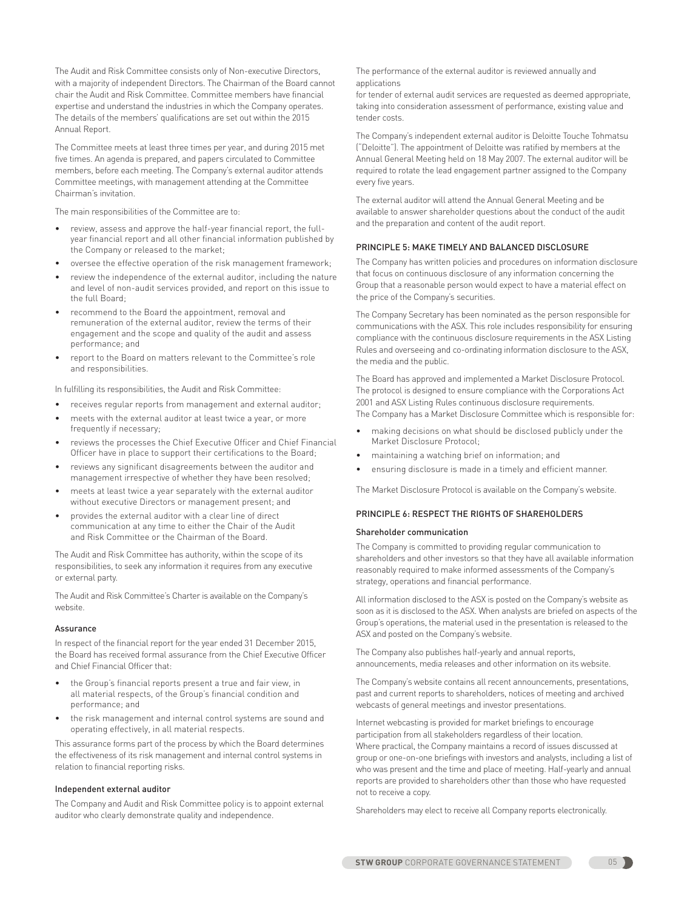The Audit and Risk Committee consists only of Non-executive Directors, with a majority of independent Directors. The Chairman of the Board cannot chair the Audit and Risk Committee. Committee members have financial expertise and understand the industries in which the Company operates. The details of the members' qualifications are set out within the 2015 Annual Report.

The Committee meets at least three times per year, and during 2015 met five times. An agenda is prepared, and papers circulated to Committee members, before each meeting. The Company's external auditor attends Committee meetings, with management attending at the Committee Chairman's invitation.

The main responsibilities of the Committee are to:

- review, assess and approve the half-year financial report, the fullyear financial report and all other financial information published by the Company or released to the market;
- oversee the effective operation of the risk management framework;
- review the independence of the external auditor, including the nature and level of non-audit services provided, and report on this issue to the full Board;
- recommend to the Board the appointment, removal and remuneration of the external auditor, review the terms of their engagement and the scope and quality of the audit and assess performance; and
- report to the Board on matters relevant to the Committee's role and responsibilities.

In fulfilling its responsibilities, the Audit and Risk Committee:

- receives regular reports from management and external auditor;
- meets with the external auditor at least twice a year, or more frequently if necessary;
- reviews the processes the Chief Executive Officer and Chief Financial Officer have in place to support their certifications to the Board;
- reviews any significant disagreements between the auditor and management irrespective of whether they have been resolved;
- meets at least twice a year separately with the external auditor without executive Directors or management present; and
- provides the external auditor with a clear line of direct communication at any time to either the Chair of the Audit and Risk Committee or the Chairman of the Board.

The Audit and Risk Committee has authority, within the scope of its responsibilities, to seek any information it requires from any executive or external party.

The Audit and Risk Committee's Charter is available on the Company's website.

## Assurance

In respect of the financial report for the year ended 31 December 2015, the Board has received formal assurance from the Chief Executive Officer and Chief Financial Officer that:

- the Group's financial reports present a true and fair view, in all material respects, of the Group's financial condition and performance; and
- the risk management and internal control systems are sound and operating effectively, in all material respects.

This assurance forms part of the process by which the Board determines the effectiveness of its risk management and internal control systems in relation to financial reporting risks.

#### Independent external auditor

The Company and Audit and Risk Committee policy is to appoint external auditor who clearly demonstrate quality and independence.

The performance of the external auditor is reviewed annually and applications

for tender of external audit services are requested as deemed appropriate, taking into consideration assessment of performance, existing value and tender costs.

The Company's independent external auditor is Deloitte Touche Tohmatsu ("Deloitte"). The appointment of Deloitte was ratified by members at the Annual General Meeting held on 18 May 2007. The external auditor will be required to rotate the lead engagement partner assigned to the Company every five years.

The external auditor will attend the Annual General Meeting and be available to answer shareholder questions about the conduct of the audit and the preparation and content of the audit report.

## PRINCIPLE 5: MAKE TIMELY AND BALANCED DISCLOSURE

The Company has written policies and procedures on information disclosure that focus on continuous disclosure of any information concerning the Group that a reasonable person would expect to have a material effect on the price of the Company's securities.

The Company Secretary has been nominated as the person responsible for communications with the ASX. This role includes responsibility for ensuring compliance with the continuous disclosure requirements in the ASX Listing Rules and overseeing and co-ordinating information disclosure to the ASX, the media and the public.

The Board has approved and implemented a Market Disclosure Protocol. The protocol is designed to ensure compliance with the Corporations Act 2001 and ASX Listing Rules continuous disclosure requirements. The Company has a Market Disclosure Committee which is responsible for:

- making decisions on what should be disclosed publicly under the Market Disclosure Protocol;
- maintaining a watching brief on information; and
- ensuring disclosure is made in a timely and efficient manner.

The Market Disclosure Protocol is available on the Company's website.

## PRINCIPLE 6: RESPECT THE RIGHTS OF SHAREHOLDERS

#### Shareholder communication

The Company is committed to providing regular communication to shareholders and other investors so that they have all available information reasonably required to make informed assessments of the Company's strategy, operations and financial performance.

All information disclosed to the ASX is posted on the Company's website as soon as it is disclosed to the ASX. When analysts are briefed on aspects of the Group's operations, the material used in the presentation is released to the ASX and posted on the Company's website.

The Company also publishes half-yearly and annual reports, announcements, media releases and other information on its website.

The Company's website contains all recent announcements, presentations, past and current reports to shareholders, notices of meeting and archived webcasts of general meetings and investor presentations.

Internet webcasting is provided for market briefings to encourage participation from all stakeholders regardless of their location. Where practical, the Company maintains a record of issues discussed at group or one-on-one briefings with investors and analysts, including a list of who was present and the time and place of meeting. Half-yearly and annual reports are provided to shareholders other than those who have requested not to receive a copy.

Shareholders may elect to receive all Company reports electronically.